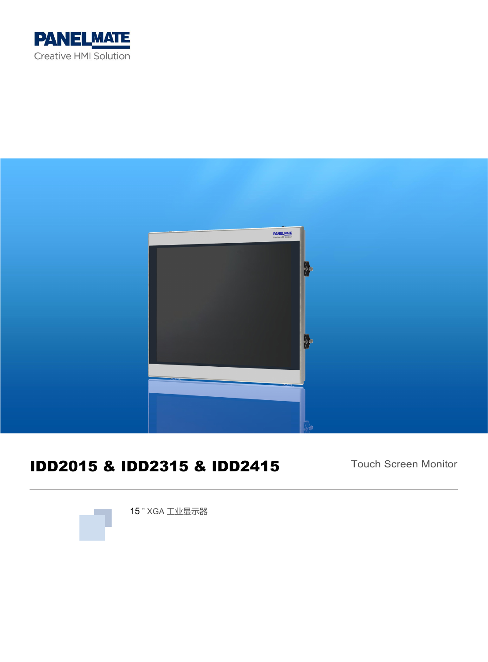



# IDD2015 & IDD2315 & IDD2415

Touch Screen Monitor



15 " XGA 工业显示器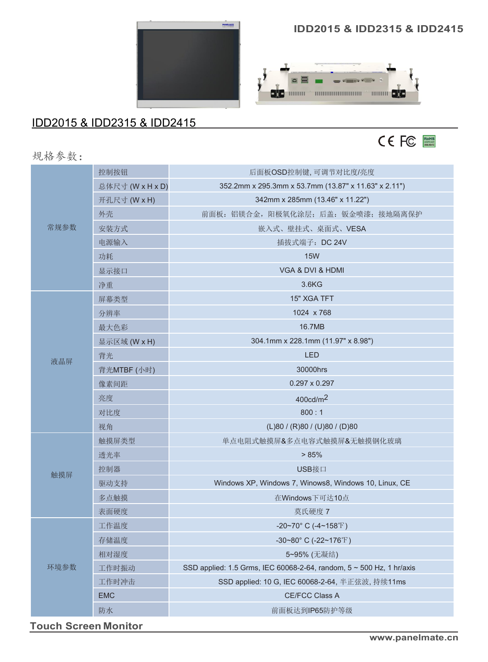

## IDD2015 & IDD2315 & IDD2415

#### **IDD2015 & IDD2315 & IDD2415**





规格参数:

| 常规参数 | 控制按钮             | 后面板OSD控制键,可调节对比度/亮度                                                  |  |
|------|------------------|----------------------------------------------------------------------|--|
|      | 总体尺寸 (W x H x D) | 352.2mm x 295.3mm x 53.7mm (13.87" x 11.63" x 2.11")                 |  |
|      | 开孔尺寸 (W x H)     | 342mm x 285mm (13.46" x 11.22")                                      |  |
|      | 外壳               | 前面板: 铝镁合金, 阳极氧化涂层; 后盖: 钣金喷漆; 接地隔离保护                                  |  |
|      | 安装方式             | 嵌入式、壁挂式、桌面式、VESA                                                     |  |
|      | 电源输入             | 插拔式端子: DC 24V                                                        |  |
|      | 功耗               | <b>15W</b>                                                           |  |
|      | 显示接口             | VGA & DVI & HDMI                                                     |  |
|      | 净重               | 3.6KG                                                                |  |
| 液晶屏  | 屏幕类型             | 15" XGA TFT                                                          |  |
|      | 分辨率              | 1024 x 768                                                           |  |
|      | 最大色彩             | 16.7MB                                                               |  |
|      | 显示区域 (W x H)     | 304.1mm x 228.1mm (11.97" x 8.98")                                   |  |
|      | 背光               | <b>LED</b>                                                           |  |
|      | 背光MTBF (小时)      | 30000hrs                                                             |  |
|      | 像素间距             | $0.297 \times 0.297$                                                 |  |
|      | 亮度               | 400cd/m <sup>2</sup>                                                 |  |
|      | 对比度              | 800:1                                                                |  |
|      | 视角               | (L)80 / (R)80 / (U)80 / (D)80                                        |  |
|      | 触摸屏类型            | 单点电阻式触摸屏&多点电容式触摸屏&无触摸钢化玻璃                                            |  |
|      | 透光率              | > 85%                                                                |  |
|      | 控制器              | USB接口                                                                |  |
| 触摸屏  | 驱动支持             | Windows XP, Windows 7, Winows8, Windows 10, Linux, CE                |  |
|      | 多点触摸             | 在Windows下可达10点                                                       |  |
|      | 表面硬度             | 莫氏硬度 7                                                               |  |
| 环境参数 | 工作温度             | -20~70° C (-4~158°F)                                                 |  |
|      | 存储温度             | -30~80° C (-22~176°F)                                                |  |
|      | 相对湿度             | 5~95% (无凝结)                                                          |  |
|      | 工作时振动            | SSD applied: 1.5 Grms, IEC 60068-2-64, random, 5 ~ 500 Hz, 1 hr/axis |  |
|      | 工作时冲击            | SSD applied: 10 G, IEC 60068-2-64, 半正弦波, 持续11ms                      |  |
|      | <b>EMC</b>       | CE/FCC Class A                                                       |  |
|      | 防水               | 前面板达到IP65防护等级                                                        |  |
|      |                  |                                                                      |  |

**Touch Screen Monitor**